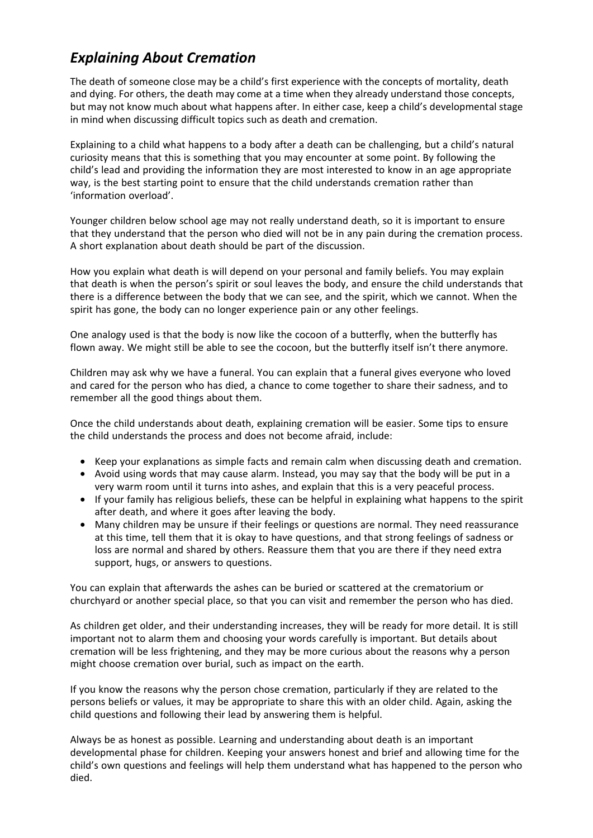## *Explaining About Cremation*

The death of someone close may be a child's first experience with the concepts of mortality, death and dying. For others, the death may come at a time when they already understand those concepts, but may not know much about what happens after. In either case, keep a child's developmental stage in mind when discussing difficult topics such as death and cremation.

Explaining to a child what happens to a body after a death can be challenging, but a child's natural curiosity means that this is something that you may encounter at some point. By following the child's lead and providing the information they are most interested to know in an age appropriate way, is the best starting point to ensure that the child understands cremation rather than 'information overload'.

Younger children below school age may not really understand death, so it is important to ensure that they understand that the person who died will not be in any [pain during the cremation process.](https://www.google.co.uk/url?sa=i&rct=j&q=&esrc=s&source=images&cd=&cad=rja&uact=8&ved=2ahUKEwi8otiD_9fZAhVBZlAKHRRQD1AQjRx6BAgAEAY&url=https://www.fbca.org.uk/&psig=AOvVaw1xKNv0hQ1srPHQYxe2k9AT&ust=1520435591026069) A short explanation about death should be part of the discussion.

How you explain what death is will depend on your personal and family beliefs. You may explain that death is when the person's spirit or soul leaves the body, and ensure the child understands that there is a difference between the body that we can see, and the spirit, which we cannot. When the spirit has gone, the body can no longer experience pain or any other feelings.

One analogy used is that the body is now like the cocoon of a butterfly, when the butterfly has flown away. We might still be able to see the cocoon, but the butterfly itself isn't there anymore.

Children may ask why we have a funeral. You can explain that a funeral gives everyone who loved and cared for the person who has died, a chance to come together to share their sadness, and to remember all the good things about them.

[Once the child understa](https://www.google.co.uk/url?sa=i&rct=j&q=&esrc=s&source=images&cd=&cad=rja&uact=8&ved=2ahUKEwihrOiW_tfZAhUQJ1AKHfTtCOAQjRx6BAgAEAY&url=https://cremationinstitute.com/cremation-ceremony/&psig=AOvVaw1xKNv0hQ1srPHQYxe2k9AT&ust=1520435591026069)nds about death, explaining cremation will be easier. Some tips to ensure the child understands the process and does not become afraid, include:

- Keep your explanations as simple facts and remain calm when discussing death and cremation.
- Avoid using words that may cause alarm. Instead, you may say that the body will be put in a very warm room until it turns into ashes, and explain that this is a very peaceful process.
- If your family has religious beliefs, these can be helpful in explaining what happens to the spirit after death, and where it goes after leaving the body.
- Many children may be unsure if their feelings or questions are normal. They need reassurance at this time, tell them that it is okay to have questions, and that strong feelings of sadness or loss are normal and shared by others. Reassure them that you are there if they need extra support, hugs, or answers to questions.

You can explain that afterwards the ashes can be buried or scattered at the crematorium or churchyard or another special place, so that you can visit and remember the person who has died.

As children get older, and their understanding increases, they will be ready for [more detail. It is still](http://www.google.co.uk/url?sa=i&rct=j&q=&esrc=s&source=images&cd=&ved=2ahUKEwj5saSngNjZAhXFLlAKHb3NDpUQjRx6BAgAEAY&url=http://xinature.com/place-blue-lake-peaceful-summer-trees-bench-water-ponder-como-italy-wallpaper/&psig=AOvVaw3kDNjLH2Q675JJcT-RR5dm&ust=1520436145337511) important not to alarm them and choosing your words carefully is important. But details about cremation will be less frightening, and they may be more curious about the reasons why a person might choose cremation over burial, such as impact on the earth.

If you know the reasons why the person chose cremation, particularly if they are related to the persons beliefs or values, it may be appropriate to share this with an older child. Again, asking the child questions and following their lead by answering them is helpful.

Always be as honest as possible. Learning and understanding about death is an important developmental phase for children. Keeping your answers honest and brief and allowing time for the child's own questions and feelings will help them understand what has happened to the person who died.